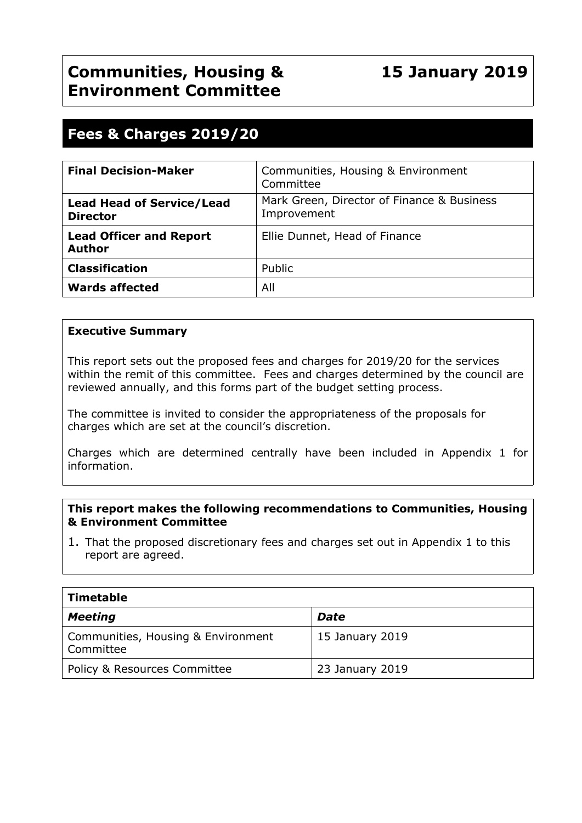# **Fees & Charges 2019/20**

| <b>Final Decision-Maker</b>                         | Communities, Housing & Environment<br>Committee           |
|-----------------------------------------------------|-----------------------------------------------------------|
| <b>Lead Head of Service/Lead</b><br><b>Director</b> | Mark Green, Director of Finance & Business<br>Improvement |
| <b>Lead Officer and Report</b><br><b>Author</b>     | Ellie Dunnet, Head of Finance                             |
| <b>Classification</b>                               | Public                                                    |
| <b>Wards affected</b>                               | All                                                       |

# **Executive Summary**

This report sets out the proposed fees and charges for 2019/20 for the services within the remit of this committee. Fees and charges determined by the council are reviewed annually, and this forms part of the budget setting process.

The committee is invited to consider the appropriateness of the proposals for charges which are set at the council's discretion.

Charges which are determined centrally have been included in Appendix 1 for information.

#### **This report makes the following recommendations to Communities, Housing & Environment Committee**

1. That the proposed discretionary fees and charges set out in Appendix 1 to this report are agreed.

| Timetable                                       |                 |  |  |
|-------------------------------------------------|-----------------|--|--|
| <b>Meeting</b>                                  | <b>Date</b>     |  |  |
| Communities, Housing & Environment<br>Committee | 15 January 2019 |  |  |
| Policy & Resources Committee                    | 23 January 2019 |  |  |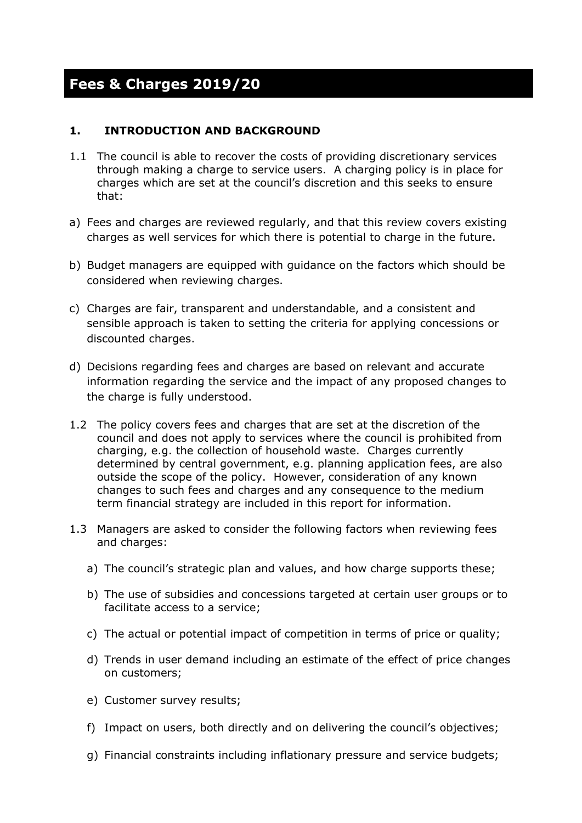# **Fees & Charges 2019/20**

# **1. INTRODUCTION AND BACKGROUND**

- 1.1 The council is able to recover the costs of providing discretionary services through making a charge to service users. A charging policy is in place for charges which are set at the council's discretion and this seeks to ensure that:
- a) Fees and charges are reviewed regularly, and that this review covers existing charges as well services for which there is potential to charge in the future.
- b) Budget managers are equipped with guidance on the factors which should be considered when reviewing charges.
- c) Charges are fair, transparent and understandable, and a consistent and sensible approach is taken to setting the criteria for applying concessions or discounted charges.
- d) Decisions regarding fees and charges are based on relevant and accurate information regarding the service and the impact of any proposed changes to the charge is fully understood.
- 1.2 The policy covers fees and charges that are set at the discretion of the council and does not apply to services where the council is prohibited from charging, e.g. the collection of household waste. Charges currently determined by central government, e.g. planning application fees, are also outside the scope of the policy. However, consideration of any known changes to such fees and charges and any consequence to the medium term financial strategy are included in this report for information.
- 1.3 Managers are asked to consider the following factors when reviewing fees and charges:
	- a) The council's strategic plan and values, and how charge supports these;
	- b) The use of subsidies and concessions targeted at certain user groups or to facilitate access to a service;
	- c) The actual or potential impact of competition in terms of price or quality;
	- d) Trends in user demand including an estimate of the effect of price changes on customers;
	- e) Customer survey results;
	- f) Impact on users, both directly and on delivering the council's objectives;
	- g) Financial constraints including inflationary pressure and service budgets;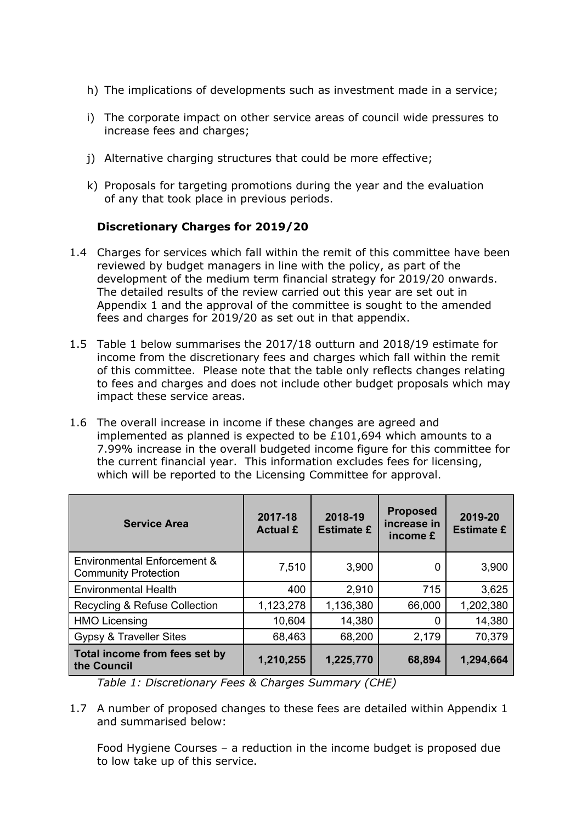- h) The implications of developments such as investment made in a service;
- i) The corporate impact on other service areas of council wide pressures to increase fees and charges;
- j) Alternative charging structures that could be more effective;
- k) Proposals for targeting promotions during the year and the evaluation of any that took place in previous periods.

#### **Discretionary Charges for 2019/20**

- 1.4 Charges for services which fall within the remit of this committee have been reviewed by budget managers in line with the policy, as part of the development of the medium term financial strategy for 2019/20 onwards. The detailed results of the review carried out this year are set out in Appendix 1 and the approval of the committee is sought to the amended fees and charges for 2019/20 as set out in that appendix.
- 1.5 Table 1 below summarises the 2017/18 outturn and 2018/19 estimate for income from the discretionary fees and charges which fall within the remit of this committee. Please note that the table only reflects changes relating to fees and charges and does not include other budget proposals which may impact these service areas.
- 1.6 The overall increase in income if these changes are agreed and implemented as planned is expected to be £101,694 which amounts to a 7.99% increase in the overall budgeted income figure for this committee for the current financial year. This information excludes fees for licensing, which will be reported to the Licensing Committee for approval.

| <b>Service Area</b>                                        | 2017-18<br><b>Actual £</b> | 2018-19<br><b>Estimate £</b> | <b>Proposed</b><br>increase in<br>income £ | 2019-20<br><b>Estimate £</b> |
|------------------------------------------------------------|----------------------------|------------------------------|--------------------------------------------|------------------------------|
| Environmental Enforcement &<br><b>Community Protection</b> | 7,510                      | 3,900                        | 0                                          | 3,900                        |
| <b>Environmental Health</b>                                | 400                        | 2,910                        | 715                                        | 3,625                        |
| Recycling & Refuse Collection                              | 1,123,278                  | 1,136,380                    | 66,000                                     | 1,202,380                    |
| <b>HMO Licensing</b>                                       | 10,604                     | 14,380                       | 0                                          | 14,380                       |
| Gypsy & Traveller Sites                                    | 68,463                     | 68,200                       | 2,179                                      | 70,379                       |
| Total income from fees set by<br>the Council               | 1,210,255                  | 1,225,770                    | 68,894                                     | 1,294,664                    |

*Table 1: Discretionary Fees & Charges Summary (CHE)*

1.7 A number of proposed changes to these fees are detailed within Appendix 1 and summarised below:

Food Hygiene Courses – a reduction in the income budget is proposed due to low take up of this service.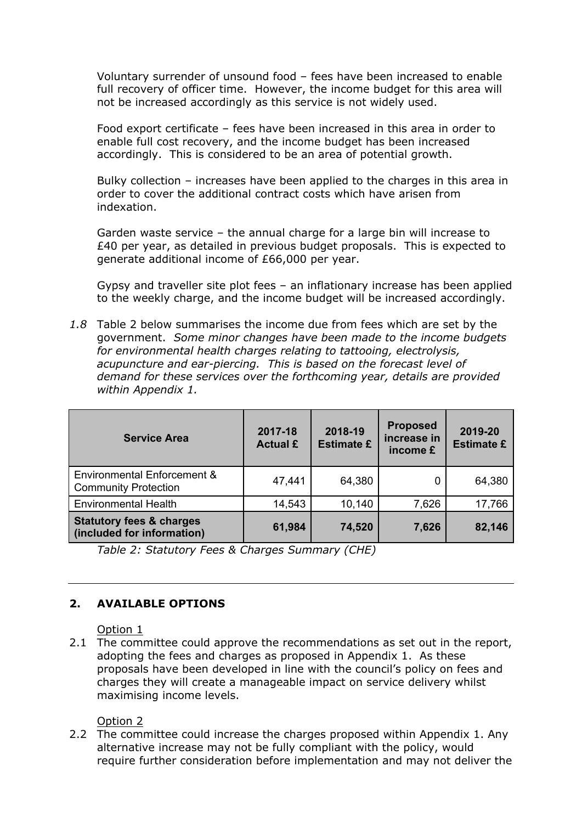Voluntary surrender of unsound food – fees have been increased to enable full recovery of officer time. However, the income budget for this area will not be increased accordingly as this service is not widely used.

Food export certificate – fees have been increased in this area in order to enable full cost recovery, and the income budget has been increased accordingly. This is considered to be an area of potential growth.

Bulky collection – increases have been applied to the charges in this area in order to cover the additional contract costs which have arisen from indexation.

Garden waste service – the annual charge for a large bin will increase to £40 per year, as detailed in previous budget proposals. This is expected to generate additional income of £66,000 per year.

Gypsy and traveller site plot fees – an inflationary increase has been applied to the weekly charge, and the income budget will be increased accordingly.

*1.8* Table 2 below summarises the income due from fees which are set by the government. *Some minor changes have been made to the income budgets for environmental health charges relating to tattooing, electrolysis, acupuncture and ear-piercing. This is based on the forecast level of demand for these services over the forthcoming year, details are provided within Appendix 1.*

| <b>Service Area</b>                                                   | 2017-18<br><b>Actual £</b> | 2018-19<br><b>Estimate £</b> | <b>Proposed</b><br>increase in<br>income £ | 2019-20<br><b>Estimate £</b> |
|-----------------------------------------------------------------------|----------------------------|------------------------------|--------------------------------------------|------------------------------|
| <b>Environmental Enforcement &amp;</b><br><b>Community Protection</b> | 47,441                     | 64,380                       | 0                                          | 64,380                       |
| <b>Environmental Health</b>                                           | 14,543                     | 10,140                       | 7,626                                      | 17,766                       |
| <b>Statutory fees &amp; charges</b><br>(included for information)     | 61,984                     | 74,520                       | 7,626                                      | 82,146                       |

*Table 2: Statutory Fees & Charges Summary (CHE)*

# **2. AVAILABLE OPTIONS**

Option 1

2.1 The committee could approve the recommendations as set out in the report, adopting the fees and charges as proposed in Appendix 1. As these proposals have been developed in line with the council's policy on fees and charges they will create a manageable impact on service delivery whilst maximising income levels.

# Option 2

2.2 The committee could increase the charges proposed within Appendix 1. Any alternative increase may not be fully compliant with the policy, would require further consideration before implementation and may not deliver the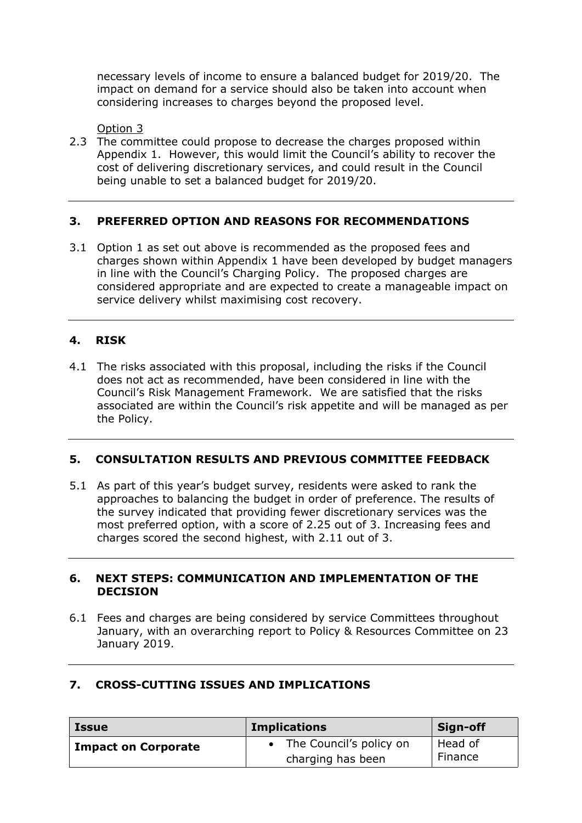necessary levels of income to ensure a balanced budget for 2019/20. The impact on demand for a service should also be taken into account when considering increases to charges beyond the proposed level.

Option 3

2.3 The committee could propose to decrease the charges proposed within Appendix 1. However, this would limit the Council's ability to recover the cost of delivering discretionary services, and could result in the Council being unable to set a balanced budget for 2019/20.

# **3. PREFERRED OPTION AND REASONS FOR RECOMMENDATIONS**

3.1 Option 1 as set out above is recommended as the proposed fees and charges shown within Appendix 1 have been developed by budget managers in line with the Council's Charging Policy. The proposed charges are considered appropriate and are expected to create a manageable impact on service delivery whilst maximising cost recovery.

# **4. RISK**

4.1 The risks associated with this proposal, including the risks if the Council does not act as recommended, have been considered in line with the Council's Risk Management Framework. We are satisfied that the risks associated are within the Council's risk appetite and will be managed as per the Policy.

# **5. CONSULTATION RESULTS AND PREVIOUS COMMITTEE FEEDBACK**

5.1 As part of this year's budget survey, residents were asked to rank the approaches to balancing the budget in order of preference. The results of the survey indicated that providing fewer discretionary services was the most preferred option, with a score of 2.25 out of 3. Increasing fees and charges scored the second highest, with 2.11 out of 3.

# **6. NEXT STEPS: COMMUNICATION AND IMPLEMENTATION OF THE DECISION**

6.1 Fees and charges are being considered by service Committees throughout January, with an overarching report to Policy & Resources Committee on 23 January 2019.

| <b>Issue</b>               | <b>Implications</b>                          | Sign-off           |
|----------------------------|----------------------------------------------|--------------------|
| <b>Impact on Corporate</b> | The Council's policy on<br>charging has been | Head of<br>Finance |

# **7. CROSS-CUTTING ISSUES AND IMPLICATIONS**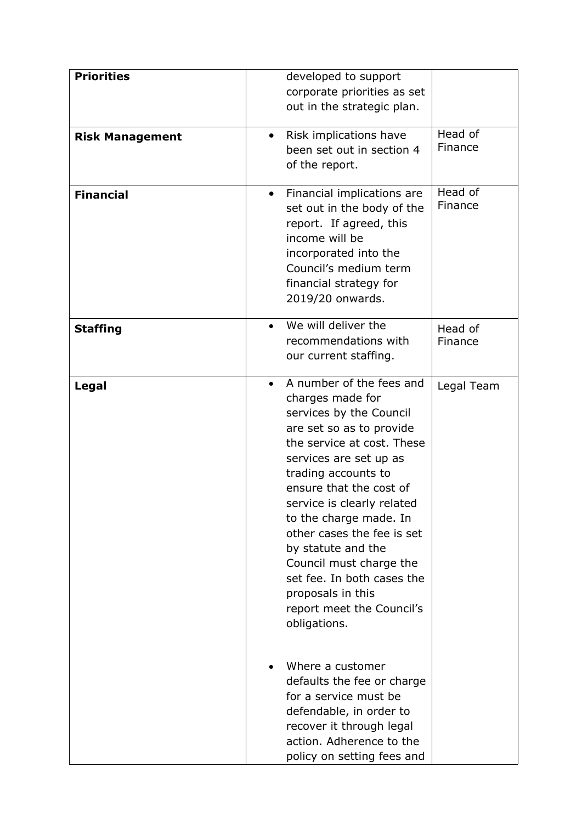| <b>Priorities</b>      | developed to support<br>corporate priorities as set<br>out in the strategic plan.                                                                                                                                                                                                                                                                                                                                                                                  |
|------------------------|--------------------------------------------------------------------------------------------------------------------------------------------------------------------------------------------------------------------------------------------------------------------------------------------------------------------------------------------------------------------------------------------------------------------------------------------------------------------|
| <b>Risk Management</b> | Head of<br>Risk implications have<br>$\bullet$<br>Finance<br>been set out in section 4<br>of the report.                                                                                                                                                                                                                                                                                                                                                           |
| <b>Financial</b>       | Head of<br>Financial implications are<br>$\bullet$<br>Finance<br>set out in the body of the<br>report. If agreed, this<br>income will be<br>incorporated into the<br>Council's medium term<br>financial strategy for<br>2019/20 onwards.                                                                                                                                                                                                                           |
| <b>Staffing</b>        | We will deliver the<br>$\bullet$<br>Head of<br>recommendations with<br>Finance<br>our current staffing.                                                                                                                                                                                                                                                                                                                                                            |
| Legal                  | A number of the fees and<br>Legal Team<br>charges made for<br>services by the Council<br>are set so as to provide<br>the service at cost. These<br>services are set up as<br>trading accounts to<br>ensure that the cost of<br>service is clearly related<br>to the charge made. In<br>other cases the fee is set<br>by statute and the<br>Council must charge the<br>set fee. In both cases the<br>proposals in this<br>report meet the Council's<br>obligations. |
|                        | Where a customer<br>defaults the fee or charge<br>for a service must be<br>defendable, in order to<br>recover it through legal<br>action. Adherence to the<br>policy on setting fees and                                                                                                                                                                                                                                                                           |